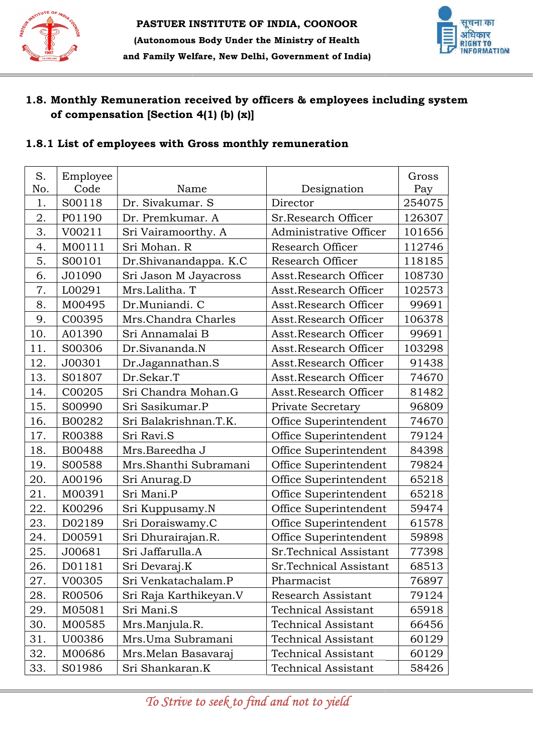



## 1.8. Monthly Remuneration received by officers & employees including system of compensation [Section 4(1) (b) (x)]

## 1.8.1 List of employees with Gross monthly remuneration

| S.  | Employee |                        |                            | Gross  |
|-----|----------|------------------------|----------------------------|--------|
| No. | Code     | Name                   | Designation                | Pay    |
| 1.  | S00118   | Dr. Sivakumar. S       | Director                   | 254075 |
| 2.  | P01190   | Dr. Premkumar. A       | Sr.Research Officer        | 126307 |
| 3.  | V00211   | Sri Vairamoorthy. A    | Administrative Officer     | 101656 |
| 4.  | M00111   | Sri Mohan. R           | Research Officer           | 112746 |
| 5.  | S00101   | Dr.Shivanandappa. K.C  | Research Officer           | 118185 |
| 6.  | J01090   | Sri Jason M Jayacross  | Asst.Research Officer      | 108730 |
| 7.  | L00291   | Mrs.Lalitha. T         | Asst.Research Officer      | 102573 |
| 8.  | M00495   | Dr.Muniandi. C         | Asst.Research Officer      | 99691  |
| 9.  | C00395   | Mrs.Chandra Charles    | Asst.Research Officer      | 106378 |
| 10. | A01390   | Sri Annamalai B        | Asst.Research Officer      | 99691  |
| 11. | S00306   | Dr.Sivananda.N         | Asst.Research Officer      | 103298 |
| 12. | J00301   | Dr.Jagannathan.S       | Asst.Research Officer      | 91438  |
| 13. | S01807   | Dr.Sekar.T             | Asst.Research Officer      | 74670  |
| 14. | C00205   | Sri Chandra Mohan.G    | Asst.Research Officer      | 81482  |
| 15. | S00990   | Sri Sasikumar.P        | Private Secretary          | 96809  |
| 16. | B00282   | Sri Balakrishnan.T.K.  | Office Superintendent      | 74670  |
| 17. | R00388   | Sri Ravi.S             | Office Superintendent      | 79124  |
| 18. | B00488   | Mrs.Bareedha J         | Office Superintendent      | 84398  |
| 19. | S00588   | Mrs.Shanthi Subramani  | Office Superintendent      | 79824  |
| 20. | A00196   | Sri Anurag.D           | Office Superintendent      | 65218  |
| 21. | M00391   | Sri Mani.P             | Office Superintendent      | 65218  |
| 22. | K00296   | Sri Kuppusamy.N        | Office Superintendent      | 59474  |
| 23. | D02189   | Sri Doraiswamy.C       | Office Superintendent      | 61578  |
| 24. | D00591   | Sri Dhurairajan.R.     | Office Superintendent      | 59898  |
| 25. | J00681   | Sri Jaffarulla.A       | Sr.Technical Assistant     | 77398  |
| 26. | D01181   | Sri Devaraj.K          | Sr.Technical Assistant     | 68513  |
| 27. | V00305   | Sri Venkatachalam.P    | Pharmacist                 | 76897  |
| 28. | R00506   | Sri Raja Karthikeyan.V | Research Assistant         | 79124  |
| 29. | M05081   | Sri Mani.S             | <b>Technical Assistant</b> | 65918  |
| 30. | M00585   | Mrs.Manjula.R.         | Technical Assistant        | 66456  |
| 31. | U00386   | Mrs.Uma Subramani      | Technical Assistant        | 60129  |
| 32. | M00686   | Mrs. Melan Basavaraj   | <b>Technical Assistant</b> | 60129  |
| 33. | S01986   | Sri Shankaran.K        | Technical Assistant        | 58426  |

To Strive to seek to find and not to yield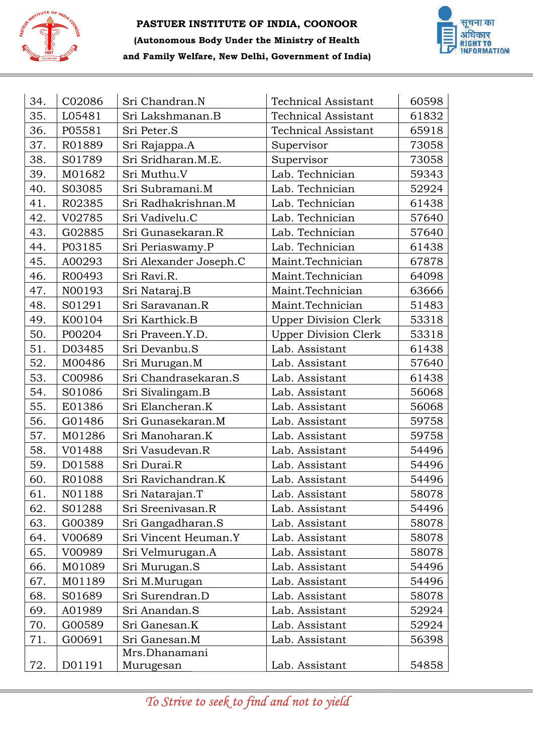



| 34. | C02086 | Sri Chandran.N         | <b>Technical Assistant</b>  | 60598 |
|-----|--------|------------------------|-----------------------------|-------|
| 35. | L05481 | Sri Lakshmanan.B       | <b>Technical Assistant</b>  | 61832 |
| 36. | P05581 | Sri Peter.S            | <b>Technical Assistant</b>  | 65918 |
| 37. | R01889 | Sri Rajappa.A          | Supervisor                  | 73058 |
| 38. | S01789 | Sri Sridharan.M.E.     | Supervisor                  | 73058 |
| 39. | M01682 | Sri Muthu.V            | Lab. Technician             | 59343 |
| 40. | S03085 | Sri Subramani.M        | Lab. Technician             | 52924 |
| 41. | R02385 | Sri Radhakrishnan.M    | Lab. Technician             | 61438 |
| 42. | V02785 | Sri Vadivelu.C         | Lab. Technician             | 57640 |
| 43. | G02885 | Sri Gunasekaran.R      | Lab. Technician             | 57640 |
| 44. | P03185 | Sri Periaswamy.P       | Lab. Technician             | 61438 |
| 45. | A00293 | Sri Alexander Joseph.C | Maint.Technician            | 67878 |
| 46. | R00493 | Sri Ravi.R.            | Maint.Technician            | 64098 |
| 47. | N00193 | Sri Nataraj.B          | Maint.Technician            | 63666 |
| 48. | S01291 | Sri Saravanan.R        | Maint.Technician            | 51483 |
| 49. | K00104 | Sri Karthick.B         | <b>Upper Division Clerk</b> | 53318 |
| 50. | P00204 | Sri Praveen.Y.D.       | <b>Upper Division Clerk</b> | 53318 |
| 51. | D03485 | Sri Devanbu.S          | Lab. Assistant              | 61438 |
| 52. | M00486 | Sri Murugan.M          | Lab. Assistant              | 57640 |
| 53. | C00986 | Sri Chandrasekaran.S   | Lab. Assistant              | 61438 |
| 54. | S01086 | Sri Sivalingam.B       | Lab. Assistant              | 56068 |
| 55. | E01386 | Sri Elancheran.K       | Lab. Assistant              | 56068 |
| 56. | G01486 | Sri Gunasekaran.M      | Lab. Assistant              | 59758 |
| 57. | M01286 | Sri Manoharan.K        | Lab. Assistant              | 59758 |
| 58. | V01488 | Sri Vasudevan.R        | Lab. Assistant              | 54496 |
| 59. | D01588 | Sri Durai.R            | Lab. Assistant              | 54496 |
| 60. | R01088 | Sri Ravichandran.K     | Lab. Assistant              | 54496 |
| 61. | N01188 | Sri Natarajan.T        | Lab. Assistant              | 58078 |
| 62. | S01288 | Sri Sreenivasan.R      | Lab. Assistant              | 54496 |
| 63. | G00389 | Sri Gangadharan.S      | Lab. Assistant              | 58078 |
| 64. | V00689 | Sri Vincent Heuman.Y   | Lab. Assistant              | 58078 |
| 65. | V00989 | Sri Velmurugan.A       | Lab. Assistant              | 58078 |
| 66. | M01089 | Sri Murugan.S          | Lab. Assistant              | 54496 |
| 67. | M01189 | Sri M.Murugan          | Lab. Assistant              | 54496 |
| 68. | S01689 | Sri Surendran.D        | Lab. Assistant              | 58078 |
| 69. | A01989 | Sri Anandan.S          | Lab. Assistant              | 52924 |
| 70. | G00589 | Sri Ganesan.K          | Lab. Assistant              | 52924 |
| 71. | G00691 | Sri Ganesan.M          | Lab. Assistant              | 56398 |
|     |        | Mrs.Dhanamani          |                             |       |
| 72. | D01191 | Murugesan              | Lab. Assistant              | 54858 |

To Strive to seek to find and not to yield